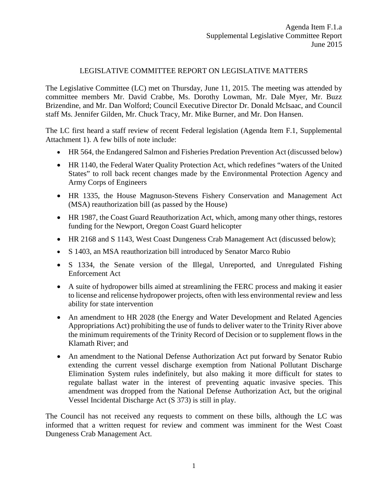#### LEGISLATIVE COMMITTEE REPORT ON LEGISLATIVE MATTERS

The Legislative Committee (LC) met on Thursday, June 11, 2015. The meeting was attended by committee members Mr. David Crabbe, Ms. Dorothy Lowman, Mr. Dale Myer, Mr. Buzz Brizendine, and Mr. Dan Wolford; Council Executive Director Dr. Donald McIsaac, and Council staff Ms. Jennifer Gilden, Mr. Chuck Tracy, Mr. Mike Burner, and Mr. Don Hansen.

The LC first heard a staff review of recent Federal legislation (Agenda Item F.1, Supplemental Attachment 1). A few bills of note include:

- HR 564, the Endangered Salmon and Fisheries Predation Prevention Act (discussed below)
- HR 1140, the Federal Water Quality Protection Act, which redefines "waters of the United States" to roll back recent changes made by the Environmental Protection Agency and Army Corps of Engineers
- HR 1335, the House Magnuson-Stevens Fishery Conservation and Management Act (MSA) reauthorization bill (as passed by the House)
- HR 1987, the Coast Guard Reauthorization Act, which, among many other things, restores funding for the Newport, Oregon Coast Guard helicopter
- HR 2168 and S 1143, West Coast Dungeness Crab Management Act (discussed below);
- S 1403, an MSA reauthorization bill introduced by Senator Marco Rubio
- S 1334, the Senate version of the Illegal, Unreported, and Unregulated Fishing Enforcement Act
- A suite of hydropower bills aimed at streamlining the FERC process and making it easier to license and relicense hydropower projects, often with less environmental review and less ability for state intervention
- An amendment to HR 2028 (the Energy and Water Development and Related Agencies Appropriations Act) prohibiting the use of funds to deliver water to the Trinity River above the minimum requirements of the Trinity Record of Decision or to supplement flows in the Klamath River; and
- An amendment to the National Defense Authorization Act put forward by Senator Rubio extending the current vessel discharge exemption from National Pollutant Discharge Elimination System rules indefinitely, but also making it more difficult for states to regulate ballast water in the interest of preventing aquatic invasive species. This amendment was dropped from the National Defense Authorization Act, but the original Vessel Incidental Discharge Act (S 373) is still in play.

The Council has not received any requests to comment on these bills, although the LC was informed that a written request for review and comment was imminent for the West Coast Dungeness Crab Management Act.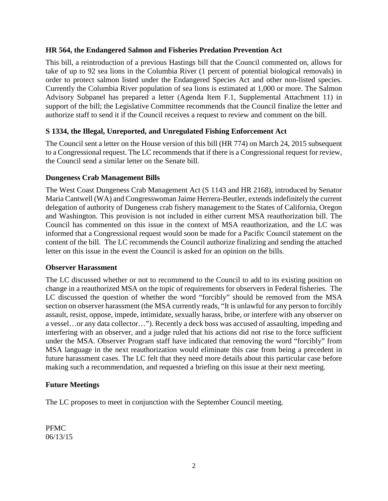### **HR 564, the Endangered Salmon and Fisheries Predation Prevention Act**

This bill, a reintroduction of a previous Hastings bill that the Council commented on, allows for take of up to 92 sea lions in the Columbia River (1 percent of potential biological removals) in order to protect salmon listed under the Endangered Species Act and other non-listed species. Currently the Columbia River population of sea lions is estimated at 1,000 or more. The Salmon Advisory Subpanel has prepared a letter (Agenda Item F.1, Supplemental Attachment 11) in support of the bill; the Legislative Committee recommends that the Council finalize the letter and authorize staff to send it if the Council receives a request to review and comment on the bill.

## **S 1334, the Illegal, Unreported, and Unregulated Fishing Enforcement Act**

The Council sent a letter on the House version of this bill (HR 774) on March 24, 2015 subsequent to a Congressional request. The LC recommends that if there is a Congressional request for review, the Council send a similar letter on the Senate bill.

#### **Dungeness Crab Management Bills**

The West Coast Dungeness Crab Management Act (S 1143 and HR 2168), introduced by Senator Maria Cantwell (WA) and Congresswoman Jaime Herrera-Beutler, extendsindefinitely the current delegation of authority of Dungeness crab fishery management to the States of California, Oregon and Washington. This provision is not included in either current MSA reauthorization bill. The Council has commented on this issue in the context of MSA reauthorization, and the LC was informed that a Congressional request would soon be made for a Pacific Council statement on the content of the bill. The LC recommends the Council authorize finalizing and sending the attached letter on this issue in the event the Council is asked for an opinion on the bills.

## **Observer Harassment**

The LC discussed whether or not to recommend to the Council to add to its existing position on change in a reauthorized MSA on the topic of requirements for observers in Federal fisheries. The LC discussed the question of whether the word "forcibly" should be removed from the MSA section on observer harassment (the MSA currently reads, "It is unlawful for any person to forcibly assault, resist, oppose, impede, intimidate, sexually harass, bribe, or interfere with any observer on a vessel…or any data collector…"). Recently a deck boss was accused of assaulting, impeding and interfering with an observer, and a judge ruled that his actions did not rise to the force sufficient under the MSA. Observer Program staff have indicated that removing the word "forcibly" from MSA language in the next reauthorization would eliminate this case from being a precedent in future harassment cases. The LC felt that they need more details about this particular case before making such a recommendation, and requested a briefing on this issue at their next meeting.

## **Future Meetings**

The LC proposes to meet in conjunction with the September Council meeting.

PFMC 06/13/15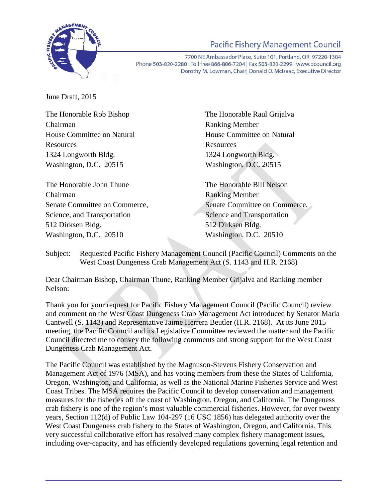

# **Pacific Fishery Management Council**

7700 NE Ambassador Place, Suite 101, Portland, OR 97220-1384 Phone 503-820-2280 | Toll free 866-806-7204 | Fax 503-820-2299 | www.pcouncil.org Dorothy M. Lowman, Chairl Donald O. McIsaac, Executive Director

June Draft, 2015

Chairman Ranking Member Resources Resources 1324 Longworth Bldg. 1324 Longworth Bldg. Washington, D.C. 20515 Washington, D.C. 20515

The Honorable John Thune The Honorable Bill Nelson Chairman Ranking Member Science, and Transportation Science and Transportation 512 Dirksen Bldg. 512 Dirksen Bldg. Washington, D.C. 20510 Washington, D.C. 20510

The Honorable Rob Bishop The Honorable Raul Grijalva House Committee on Natural House Committee on Natural

Senate Committee on Commerce, Senate Committee on Commerce,

Subject: Requested Pacific Fishery Management Council (Pacific Council) Comments on the West Coast Dungeness Crab Management Act (S. 1143 and H.R. 2168)

Dear Chairman Bishop, Chairman Thune, Ranking Member Grijalva and Ranking member Nelson:

Thank you for your request for Pacific Fishery Management Council (Pacific Council) review and comment on the West Coast Dungeness Crab Management Act introduced by Senator Maria Cantwell (S. 1143) and Representative Jaime Herrera Beutler (H.R. 2168). At its June 2015 meeting, the Pacific Council and its Legislative Committee reviewed the matter and the Pacific Council directed me to convey the following comments and strong support for the West Coast Dungeness Crab Management Act.

The Pacific Council was established by the Magnuson-Stevens Fishery Conservation and Management Act of 1976 (MSA), and has voting members from these the States of California, Oregon, Washington, and California, as well as the National Marine Fisheries Service and West Coast Tribes. The MSA requires the Pacific Council to develop conservation and management measures for the fisheries off the coast of Washington, Oregon, and California. The Dungeness crab fishery is one of the region's most valuable commercial fisheries. However, for over twenty years, Section 112(d) of Public Law 104-297 (16 USC 1856) has delegated authority over the West Coast Dungeness crab fishery to the States of Washington, Oregon, and California. This very successful collaborative effort has resolved many complex fishery management issues, including over-capacity, and has efficiently developed regulations governing legal retention and